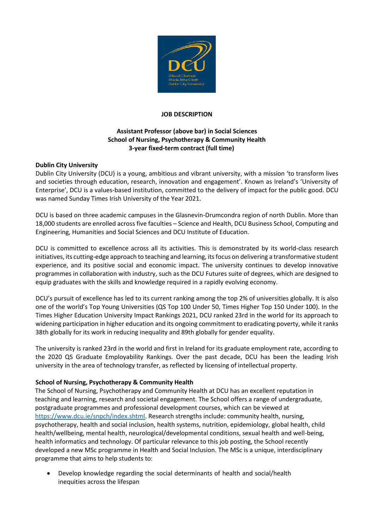

## **JOB DESCRIPTION**

# **Assistant Professor (above bar) in Social Sciences School of Nursing, Psychotherapy & Community Health 3-year fixed-term contract (full time)**

### **Dublin City University**

Dublin City University (DCU) is a young, ambitious and vibrant university, with a mission 'to transform lives and societies through education, research, innovation and engagement'. Known as Ireland's 'University of Enterprise', DCU is a values-based institution, committed to the delivery of impact for the public good. DCU was named Sunday Times Irish University of the Year 2021.

DCU is based on three academic campuses in the Glasnevin-Drumcondra region of north Dublin. More than 18,000 students are enrolled across five faculties – Science and Health, DCU Business School, Computing and Engineering, Humanities and Social Sciences and DCU Institute of Education.

DCU is committed to excellence across all its activities. This is demonstrated by its world-class research initiatives, its cutting-edge approach to teaching and learning, its focus on delivering a transformative student experience, and its positive social and economic impact. The university continues to develop innovative programmes in collaboration with industry, such as the DCU Futures suite of degrees, which are designed to equip graduates with the skills and knowledge required in a rapidly evolving economy.

DCU's pursuit of excellence has led to its current ranking among the top 2% of universities globally. It is also one of the world's Top Young Universities (QS Top 100 Under 50, Times Higher Top 150 Under 100). In the Times Higher Education University Impact Rankings 2021, DCU ranked 23rd in the world for its approach to widening participation in higher education and its ongoing commitment to eradicating poverty, while it ranks 38th globally for its work in reducing inequality and 89th globally for gender equality.

The university is ranked 23rd in the world and first in Ireland for its graduate employment rate, according to the 2020 QS Graduate Employability Rankings. Over the past decade, DCU has been the leading Irish university in the area of technology transfer, as reflected by licensing of intellectual property.

#### **School of Nursing, Psychotherapy & Community Health**

The School of Nursing, Psychotherapy and Community Health at DCU has an excellent reputation in teaching and learning, research and societal engagement. The School offers a range of undergraduate, postgraduate programmes and professional development courses, which can be viewed at [https://www.dcu.ie/snpch/index.shtml.](https://www.dcu.ie/snpch/index.shtml) Research strengths include: community health, nursing, psychotherapy, health and social inclusion, health systems, nutrition, epidemiology, global health, child health/wellbeing, mental health, neurological/developmental conditions, sexual health and well-being, health informatics and technology. Of particular relevance to this job posting, the School recently developed a new MSc programme in Health and Social Inclusion. The MSc is a unique, interdisciplinary programme that aims to help students to:

 Develop knowledge regarding the social determinants of health and social/health inequities across the lifespan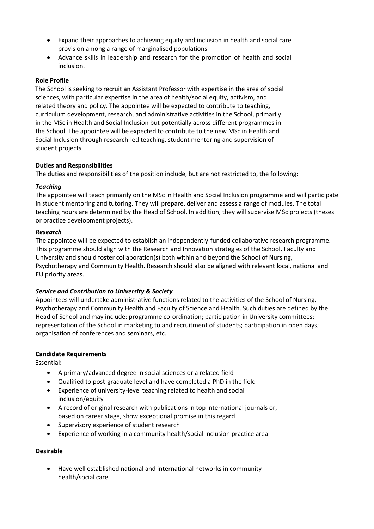- Expand their approaches to achieving equity and inclusion in health and social care provision among a range of marginalised populations
- Advance skills in leadership and research for the promotion of health and social inclusion.

### **Role Profile**

The School is seeking to recruit an Assistant Professor with expertise in the area of social sciences, with particular expertise in the area of health/social equity, activism, and related theory and policy. The appointee will be expected to contribute to teaching, curriculum development, research, and administrative activities in the School, primarily in the MSc in Health and Social Inclusion but potentially across different programmes in the School. The appointee will be expected to contribute to the new MSc in Health and Social Inclusion through research-led teaching, student mentoring and supervision of student projects.

### **Duties and Responsibilities**

The duties and responsibilities of the position include, but are not restricted to, the following:

### *Teaching*

The appointee will teach primarily on the MSc in Health and Social Inclusion programme and will participate in student mentoring and tutoring. They will prepare, deliver and assess a range of modules. The total teaching hours are determined by the Head of School. In addition, they will supervise MSc projects (theses or practice development projects).

#### *Research*

The appointee will be expected to establish an independently-funded collaborative research programme. This programme should align with the Research and Innovation strategies of the School, Faculty and University and should foster collaboration(s) both within and beyond the School of Nursing, Psychotherapy and Community Health. Research should also be aligned with relevant local, national and EU priority areas.

# *Service and Contribution to University & Society*

Appointees will undertake administrative functions related to the activities of the School of Nursing, Psychotherapy and Community Health and Faculty of Science and Health. Such duties are defined by the Head of School and may include: programme co-ordination; participation in University committees; representation of the School in marketing to and recruitment of students; participation in open days; organisation of conferences and seminars, etc.

# **Candidate Requirements**

Essential:

- A primary/advanced degree in social sciences or a related field
- Qualified to post-graduate level and have completed a PhD in the field
- Experience of university-level teaching related to health and social inclusion/equity
- A record of original research with publications in top international journals or, based on career stage, show exceptional promise in this regard
- Supervisory experience of student research
- Experience of working in a community health/social inclusion practice area

#### **Desirable**

 Have well established national and international networks in community health/social care.